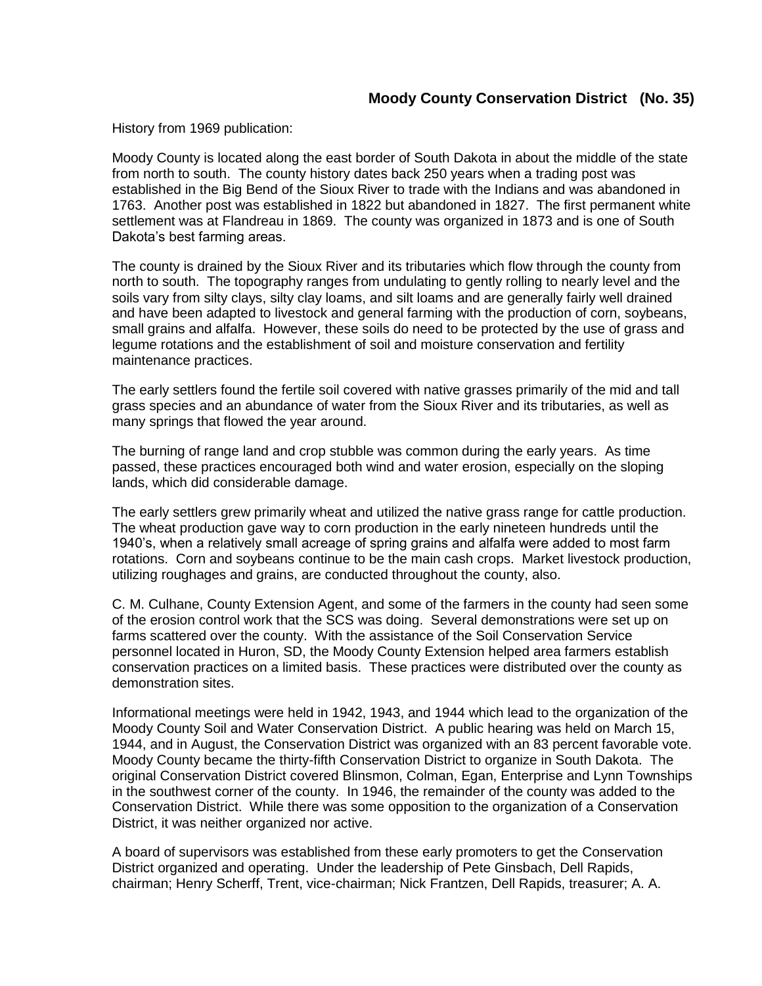## **Moody County Conservation District (No. 35)**

History from 1969 publication:

Moody County is located along the east border of South Dakota in about the middle of the state from north to south. The county history dates back 250 years when a trading post was established in the Big Bend of the Sioux River to trade with the Indians and was abandoned in 1763. Another post was established in 1822 but abandoned in 1827. The first permanent white settlement was at Flandreau in 1869. The county was organized in 1873 and is one of South Dakota's best farming areas.

The county is drained by the Sioux River and its tributaries which flow through the county from north to south. The topography ranges from undulating to gently rolling to nearly level and the soils vary from silty clays, silty clay loams, and silt loams and are generally fairly well drained and have been adapted to livestock and general farming with the production of corn, soybeans, small grains and alfalfa. However, these soils do need to be protected by the use of grass and legume rotations and the establishment of soil and moisture conservation and fertility maintenance practices.

The early settlers found the fertile soil covered with native grasses primarily of the mid and tall grass species and an abundance of water from the Sioux River and its tributaries, as well as many springs that flowed the year around.

The burning of range land and crop stubble was common during the early years. As time passed, these practices encouraged both wind and water erosion, especially on the sloping lands, which did considerable damage.

The early settlers grew primarily wheat and utilized the native grass range for cattle production. The wheat production gave way to corn production in the early nineteen hundreds until the 1940's, when a relatively small acreage of spring grains and alfalfa were added to most farm rotations. Corn and soybeans continue to be the main cash crops. Market livestock production, utilizing roughages and grains, are conducted throughout the county, also.

C. M. Culhane, County Extension Agent, and some of the farmers in the county had seen some of the erosion control work that the SCS was doing. Several demonstrations were set up on farms scattered over the county. With the assistance of the Soil Conservation Service personnel located in Huron, SD, the Moody County Extension helped area farmers establish conservation practices on a limited basis. These practices were distributed over the county as demonstration sites.

Informational meetings were held in 1942, 1943, and 1944 which lead to the organization of the Moody County Soil and Water Conservation District. A public hearing was held on March 15, 1944, and in August, the Conservation District was organized with an 83 percent favorable vote. Moody County became the thirty-fifth Conservation District to organize in South Dakota. The original Conservation District covered Blinsmon, Colman, Egan, Enterprise and Lynn Townships in the southwest corner of the county. In 1946, the remainder of the county was added to the Conservation District. While there was some opposition to the organization of a Conservation District, it was neither organized nor active.

A board of supervisors was established from these early promoters to get the Conservation District organized and operating. Under the leadership of Pete Ginsbach, Dell Rapids, chairman; Henry Scherff, Trent, vice-chairman; Nick Frantzen, Dell Rapids, treasurer; A. A.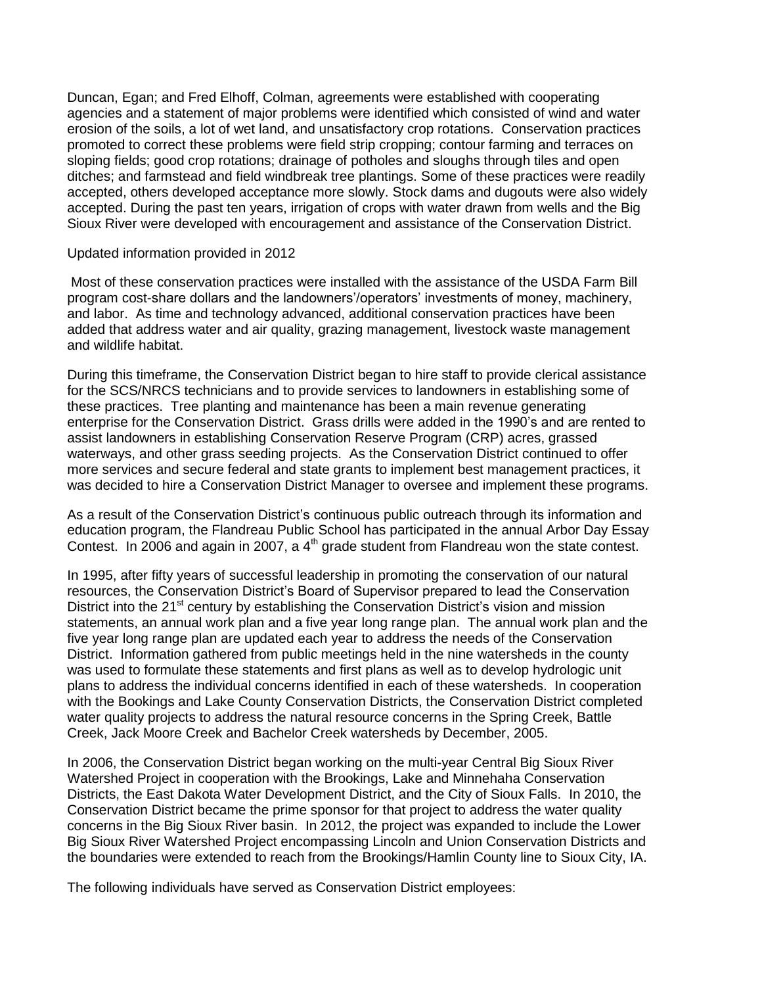Duncan, Egan; and Fred Elhoff, Colman, agreements were established with cooperating agencies and a statement of major problems were identified which consisted of wind and water erosion of the soils, a lot of wet land, and unsatisfactory crop rotations. Conservation practices promoted to correct these problems were field strip cropping; contour farming and terraces on sloping fields; good crop rotations; drainage of potholes and sloughs through tiles and open ditches; and farmstead and field windbreak tree plantings. Some of these practices were readily accepted, others developed acceptance more slowly. Stock dams and dugouts were also widely accepted. During the past ten years, irrigation of crops with water drawn from wells and the Big Sioux River were developed with encouragement and assistance of the Conservation District.

## Updated information provided in 2012

Most of these conservation practices were installed with the assistance of the USDA Farm Bill program cost-share dollars and the landowners'/operators' investments of money, machinery, and labor. As time and technology advanced, additional conservation practices have been added that address water and air quality, grazing management, livestock waste management and wildlife habitat.

During this timeframe, the Conservation District began to hire staff to provide clerical assistance for the SCS/NRCS technicians and to provide services to landowners in establishing some of these practices. Tree planting and maintenance has been a main revenue generating enterprise for the Conservation District. Grass drills were added in the 1990's and are rented to assist landowners in establishing Conservation Reserve Program (CRP) acres, grassed waterways, and other grass seeding projects. As the Conservation District continued to offer more services and secure federal and state grants to implement best management practices, it was decided to hire a Conservation District Manager to oversee and implement these programs.

As a result of the Conservation District's continuous public outreach through its information and education program, the Flandreau Public School has participated in the annual Arbor Day Essay Contest. In 2006 and again in 2007, a 4<sup>th</sup> grade student from Flandreau won the state contest.

In 1995, after fifty years of successful leadership in promoting the conservation of our natural resources, the Conservation District's Board of Supervisor prepared to lead the Conservation District into the  $21<sup>st</sup>$  century by establishing the Conservation District's vision and mission statements, an annual work plan and a five year long range plan. The annual work plan and the five year long range plan are updated each year to address the needs of the Conservation District. Information gathered from public meetings held in the nine watersheds in the county was used to formulate these statements and first plans as well as to develop hydrologic unit plans to address the individual concerns identified in each of these watersheds. In cooperation with the Bookings and Lake County Conservation Districts, the Conservation District completed water quality projects to address the natural resource concerns in the Spring Creek, Battle Creek, Jack Moore Creek and Bachelor Creek watersheds by December, 2005.

In 2006, the Conservation District began working on the multi-year Central Big Sioux River Watershed Project in cooperation with the Brookings, Lake and Minnehaha Conservation Districts, the East Dakota Water Development District, and the City of Sioux Falls. In 2010, the Conservation District became the prime sponsor for that project to address the water quality concerns in the Big Sioux River basin. In 2012, the project was expanded to include the Lower Big Sioux River Watershed Project encompassing Lincoln and Union Conservation Districts and the boundaries were extended to reach from the Brookings/Hamlin County line to Sioux City, IA.

The following individuals have served as Conservation District employees: